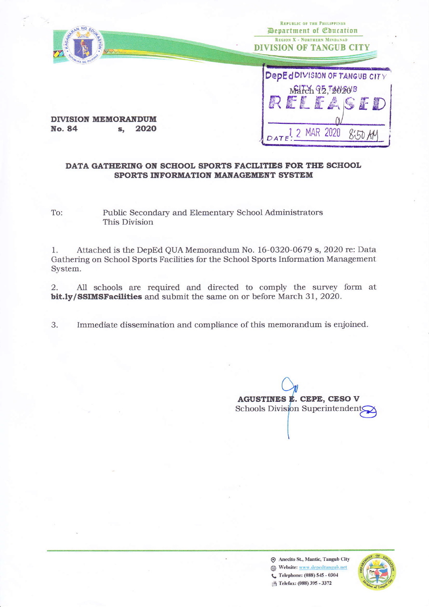

Public Secondary and Elementary School Administrators To: This Division

Attached is the DepEd QUA Memorandum No. 16-0320-0679 s, 2020 re: Data 1. Gathering on School Sports Facilities for the School Sports Information Management System.

All schools are required and directed to comply the survey form at 2. bit.ly/SSIMSFacilities and submit the same on or before March 31, 2020.

3. Immediate dissemination and compliance of this memorandum is enjoined.

**AGUSTINES E. CEPE, CESO V** Schools Division Superintendents

**O** Anecito St., Mantic, Tangub City Website: www.depedtangub.net € Telephone: (088) 545 - 0304 **B** Telefax: (088) 395 - 3372